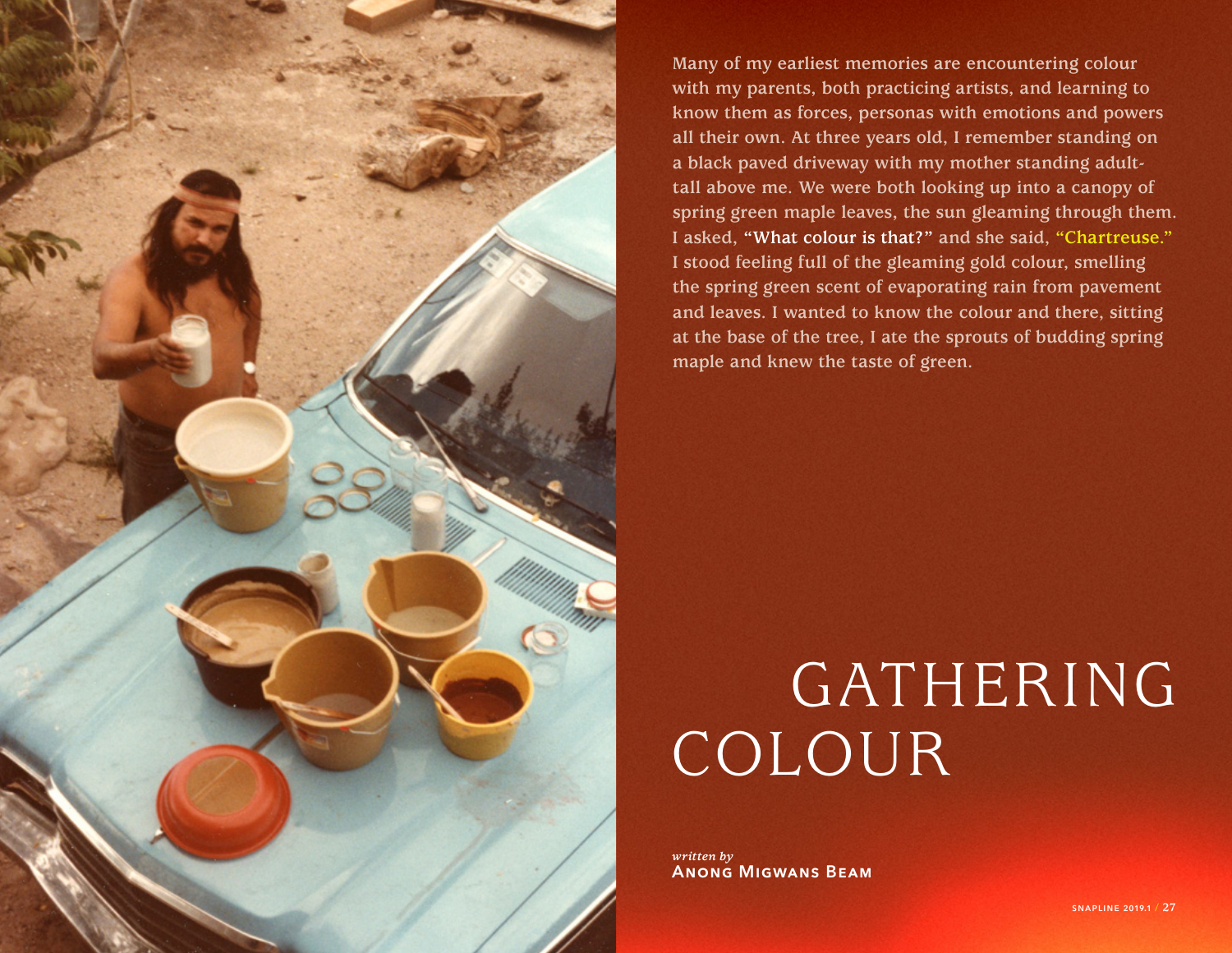

**Many of my earliest memories are encountering colour with my parents, both practicing artists, and learning to know them as forces, personas with emotions and powers all their own. At three years old, I remember standing on a black paved driveway with my mother standing adulttall above me. We were both looking up into a canopy of spring green maple leaves, the sun gleaming through them. I asked, "What colour is that?" and she said, "Chartreuse." I stood feeling full of the gleaming gold colour, smelling the spring green scent of evaporating rain from pavement and leaves. I wanted to know the colour and there, sitting at the base of the tree, I ate the sprouts of budding spring maple and knew the taste of green.**

## GATHERING COLOUR

*written by* Anong Migwans Beam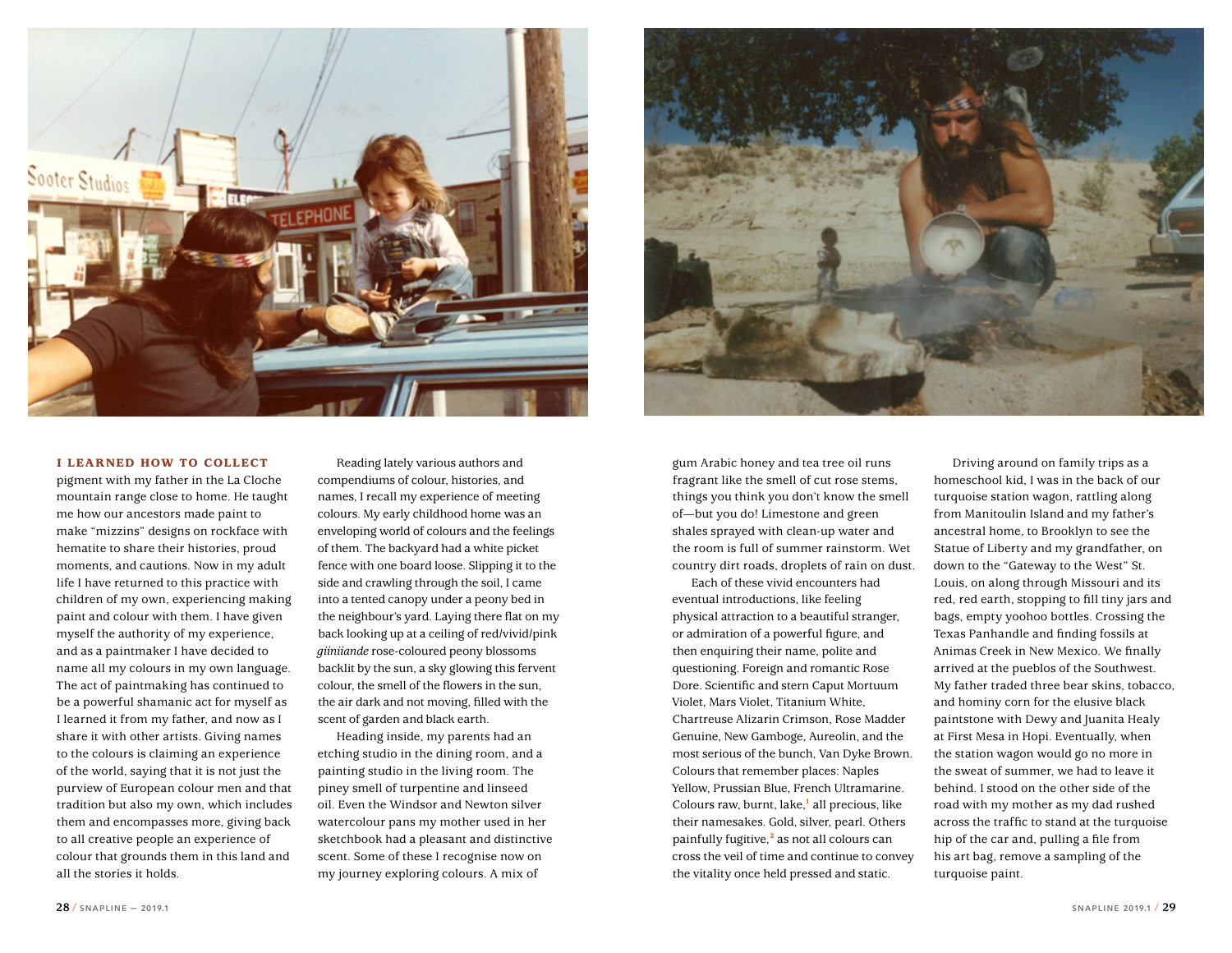



## I LEARNED HOW TO COLLECT

pigment with my father in the La Cloche mountain range close to home. He taught me how our ancestors made paint to make "mizzins" designs on rockface with hematite to share their histories, proud moments, and cautions. Now in my adult life I have returned to this practice with children of my own, experiencing making paint and colour with them. I have given myself the authority of my experience, and as a paintmaker I have decided to name all my colours in my own language. The act of paintmaking has continued to be a powerful shamanic act for myself as I learned it from my father, and now as I share it with other artists. Giving names to the colours is claiming an experience of the world, saying that it is not just the purview of European colour men and that tradition but also my own, which includes them and encompasses more, giving back to all creative people an experience of colour that grounds them in this land and all the stories it holds.

Reading lately various authors and compendiums of colour, histories, and names, I recall my experience of meeting colours. My early childhood home was an enveloping world of colours and the feelings of them. The backyard had a white picket fence with one board loose. Slipping it to the side and crawling through the soil, I came into a tented canopy under a peony bed in the neighbour's yard. Laying there flat on my back looking up at a ceiling of red/vivid/pink *giiniiande* rose-coloured peony blossoms backlit by the sun, a sky glowing this fervent colour, the smell of the flowers in the sun, the air dark and not moving, filled with the scent of garden and black earth.

Heading inside, my parents had an etching studio in the dining room, and a painting studio in the living room. The piney smell of turpentine and linseed oil. Even the Windsor and Newton silver watercolour pans my mother used in her sketchbook had a pleasant and distinctive scent. Some of these I recognise now on my journey exploring colours. A mix of

gum Arabic honey and tea tree oil runs fragrant like the smell of cut rose stems, things you think you don't know the smell of—but you do! Limestone and green shales sprayed with clean-up water and the room is full of summer rainstorm. Wet country dirt roads, droplets of rain on dust.

Each of these vivid encounters had eventual introductions, like feeling physical attraction to a beautiful stranger, or admiration of a powerful figure, and then enquiring their name, polite and questioning. Foreign and romantic Rose Dore. Scientific and stern Caput Mortuum Violet, Mars Violet, Titanium White, Chartreuse Alizarin Crimson, Rose Madder Genuine, New Gamboge, Aureolin, and the most serious of the bunch, Van Dyke Brown. Colours that remember places: Naples Yellow, Prussian Blue, French Ultramarine. Colours raw, burnt, lake,<sup>1</sup> all precious, like their namesakes. Gold, silver, pearl. Others painfully fugitive,<sup>2</sup> as not all colours can cross the veil of time and continue to convey the vitality once held pressed and static.

Driving around on family trips as a homeschool kid, I was in the back of our turquoise station wagon, rattling along from Manitoulin Island and my father's ancestral home, to Brooklyn to see the Statue of Liberty and my grandfather, on down to the "Gateway to the West" St. Louis, on along through Missouri and its red, red earth, stopping to fill tiny jars and bags, empty yoohoo bottles. Crossing the Texas Panhandle and finding fossils at Animas Creek in New Mexico. We finally arrived at the pueblos of the Southwest. My father traded three bear skins, tobacco, and hominy corn for the elusive black paintstone with Dewy and Juanita Healy at First Mesa in Hopi. Eventually, when the station wagon would go no more in the sweat of summer, we had to leave it behind. I stood on the other side of the road with my mother as my dad rushed across the traffic to stand at the turquoise hip of the car and, pulling a file from his art bag, remove a sampling of the turquoise paint.